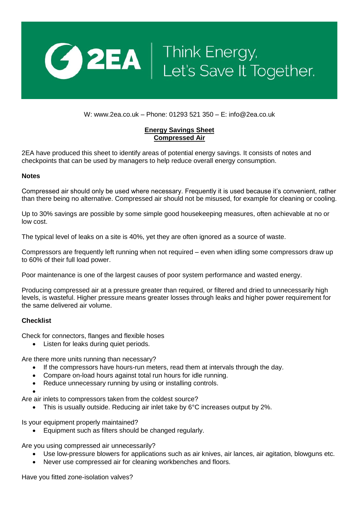

## **CO 2EA** | Think Energy,<br>Let's Save It Together.

W: www.2ea.co.uk – Phone: 01293 521 350 – E: info@2ea.co.uk

## **Energy Savings Sheet Compressed Air**

2EA have produced this sheet to identify areas of potential energy savings. It consists of notes and checkpoints that can be used by managers to help reduce overall energy consumption.

## **Notes**

Compressed air should only be used where necessary. Frequently it is used because it's convenient, rather than there being no alternative. Compressed air should not be misused, for example for cleaning or cooling.

Up to 30% savings are possible by some simple good housekeeping measures, often achievable at no or low cost.

The typical level of leaks on a site is 40%, yet they are often ignored as a source of waste.

Compressors are frequently left running when not required – even when idling some compressors draw up to 60% of their full load power.

Poor maintenance is one of the largest causes of poor system performance and wasted energy.

Producing compressed air at a pressure greater than required, or filtered and dried to unnecessarily high levels, is wasteful. Higher pressure means greater losses through leaks and higher power requirement for the same delivered air volume.

## **Checklist**

Check for connectors, flanges and flexible hoses

• Listen for leaks during quiet periods.

Are there more units running than necessary?

- If the compressors have hours-run meters, read them at intervals through the day.
- Compare on-load hours against total run hours for idle running.
- Reduce unnecessary running by using or installing controls.

 $\bullet$ 

Are air inlets to compressors taken from the coldest source?

This is usually outside. Reducing air inlet take by 6°C increases output by 2%.

Is your equipment properly maintained?

Equipment such as filters should be changed regularly.

Are you using compressed air unnecessarily?

- Use low-pressure blowers for applications such as air knives, air lances, air agitation, blowguns etc.
- Never use compressed air for cleaning workbenches and floors.

Have you fitted zone-isolation valves?